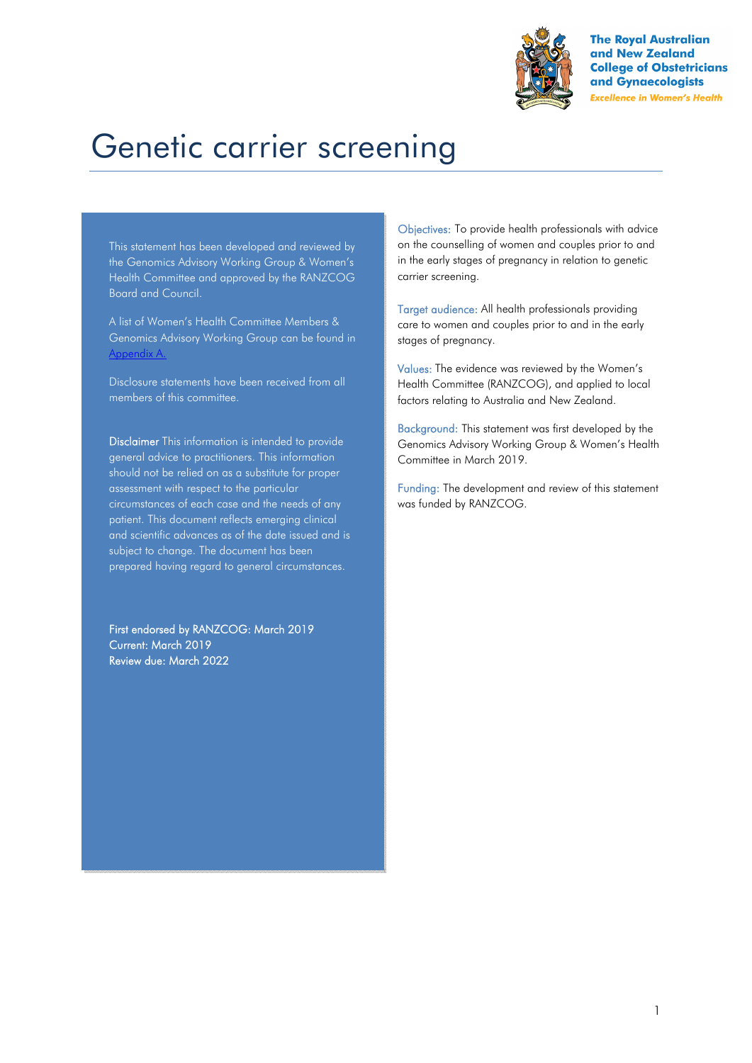

**The Roval Australian** and New Zealand **College of Obstetricians** and Gynaecologists **Excellence in Women's Health** 

# Genetic carrier screening

This statement has been developed and reviewed by the Genomics Advisory Working Group & Women's Health Committee and approved by the RANZCOG Board and Council.

A list of Women's Health Committee Members & Genomics Advisory Working Group can be found in Appendix A.

Disclosure statements have been received from all members of this committee.

Disclaimer This information is intended to provide general advice to practitioners. This information should not be relied on as a substitute for proper assessment with respect to the particular circumstances of each case and the needs of any patient. This document reflects emerging clinical and scientific advances as of the date issued and is subject to change. The document has been prepared having regard to general circumstances.

First endorsed by RANZCOG: March 2019 Current: March 2019 Review due: March 2022

Objectives: To provide health professionals with advice on the counselling of women and couples prior to and in the early stages of pregnancy in relation to genetic carrier screening.

Target audience: All health professionals providing care to women and couples prior to and in the early stages of pregnancy.

Values: The evidence was reviewed by the Women's Health Committee (RANZCOG), and applied to local factors relating to Australia and New Zealand.

Background: This statement was first developed by the Genomics Advisory Working Group & Women's Health Committee in March 2019.

Funding: The development and review of this statement was funded by RANZCOG.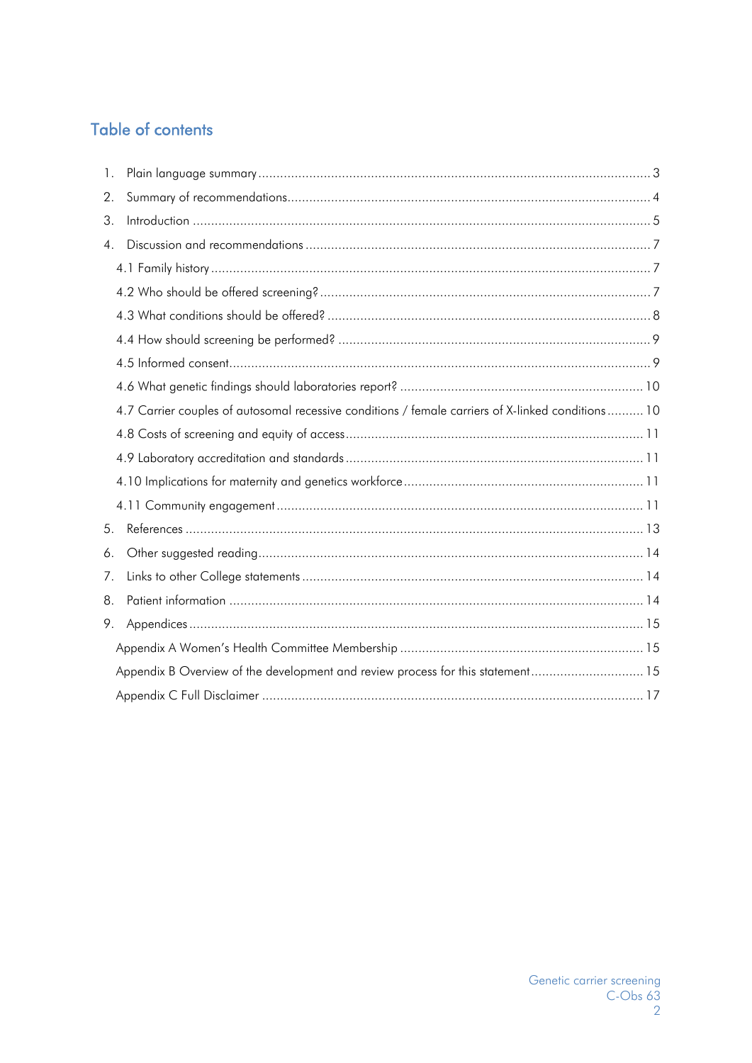# **Table of contents**

| $\mathbf{1}$ .   |                                                                                                   |  |
|------------------|---------------------------------------------------------------------------------------------------|--|
| 2.               |                                                                                                   |  |
| 3.               |                                                                                                   |  |
| $\overline{4}$ . |                                                                                                   |  |
|                  |                                                                                                   |  |
|                  |                                                                                                   |  |
|                  |                                                                                                   |  |
|                  |                                                                                                   |  |
|                  |                                                                                                   |  |
|                  |                                                                                                   |  |
|                  | 4.7 Carrier couples of autosomal recessive conditions / female carriers of X-linked conditions 10 |  |
|                  |                                                                                                   |  |
|                  |                                                                                                   |  |
|                  |                                                                                                   |  |
|                  |                                                                                                   |  |
| 5.               |                                                                                                   |  |
| 6.               |                                                                                                   |  |
| 7.               |                                                                                                   |  |
| 8.               |                                                                                                   |  |
| 9.               |                                                                                                   |  |
|                  |                                                                                                   |  |
|                  | Appendix B Overview of the development and review process for this statement 15                   |  |
|                  |                                                                                                   |  |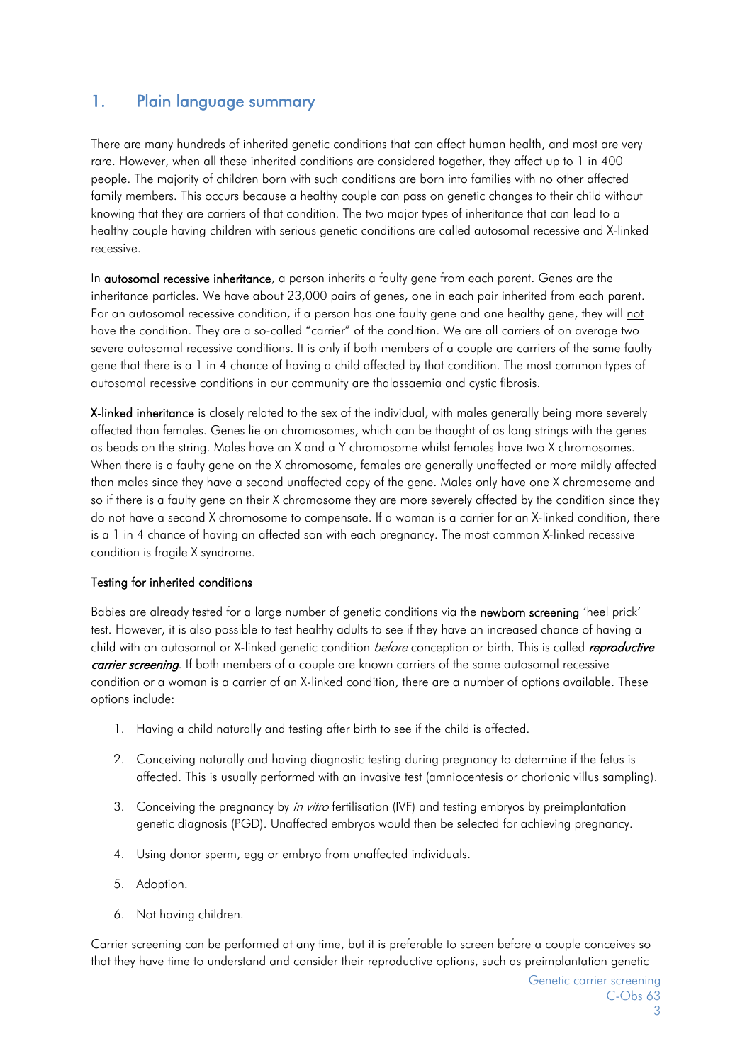# 1. Plain language summary

There are many hundreds of inherited genetic conditions that can affect human health, and most are very rare. However, when all these inherited conditions are considered together, they affect up to 1 in 400 people. The majority of children born with such conditions are born into families with no other affected family members. This occurs because a healthy couple can pass on genetic changes to their child without knowing that they are carriers of that condition. The two major types of inheritance that can lead to a healthy couple having children with serious genetic conditions are called autosomal recessive and X-linked recessive.

In **autosomal recessive inheritance**, a person inherits a faulty gene from each parent. Genes are the inheritance particles. We have about 23,000 pairs of genes, one in each pair inherited from each parent. For an autosomal recessive condition, if a person has one faulty gene and one healthy gene, they will not have the condition. They are a so-called "carrier" of the condition. We are all carriers of on average two severe autosomal recessive conditions. It is only if both members of a couple are carriers of the same faulty gene that there is a 1 in 4 chance of having a child affected by that condition. The most common types of autosomal recessive conditions in our community are thalassaemia and cystic fibrosis.

X-linked inheritance is closely related to the sex of the individual, with males generally being more severely affected than females. Genes lie on chromosomes, which can be thought of as long strings with the genes as beads on the string. Males have an X and a Y chromosome whilst females have two X chromosomes. When there is a faulty gene on the X chromosome, females are generally unaffected or more mildly affected than males since they have a second unaffected copy of the gene. Males only have one X chromosome and so if there is a faulty gene on their X chromosome they are more severely affected by the condition since they do not have a second X chromosome to compensate. If a woman is a carrier for an X-linked condition, there is a 1 in 4 chance of having an affected son with each pregnancy. The most common X-linked recessive condition is fragile X syndrome.

#### Testing for inherited conditions

Babies are already tested for a large number of genetic conditions via the newborn screening 'heel prick' test. However, it is also possible to test healthy adults to see if they have an increased chance of having a child with an autosomal or X-linked genetic condition *before* conception or birth. This is called *reproductive* carrier screening. If both members of a couple are known carriers of the same autosomal recessive condition or a woman is a carrier of an X-linked condition, there are a number of options available. These options include:

- 1. Having a child naturally and testing after birth to see if the child is affected.
- 2. Conceiving naturally and having diagnostic testing during pregnancy to determine if the fetus is affected. This is usually performed with an invasive test (amniocentesis or chorionic villus sampling).
- 3. Conceiving the pregnancy by in vitro fertilisation (IVF) and testing embryos by preimplantation genetic diagnosis (PGD). Unaffected embryos would then be selected for achieving pregnancy.
- 4. Using donor sperm, egg or embryo from unaffected individuals.
- 5. Adoption.
- 6. Not having children.

Carrier screening can be performed at any time, but it is preferable to screen before a couple conceives so that they have time to understand and consider their reproductive options, such as preimplantation genetic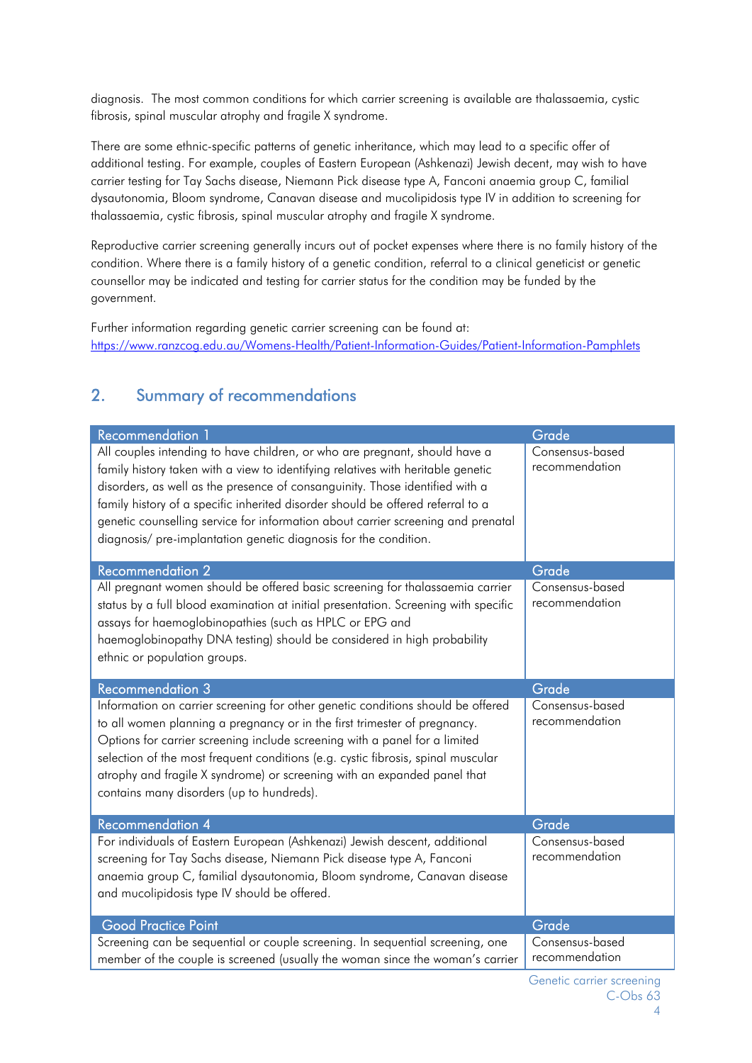diagnosis. The most common conditions for which carrier screening is available are thalassaemia, cystic fibrosis, spinal muscular atrophy and fragile X syndrome.

There are some ethnic-specific patterns of genetic inheritance, which may lead to a specific offer of additional testing. For example, couples of Eastern European (Ashkenazi) Jewish decent, may wish to have carrier testing for Tay Sachs disease, Niemann Pick disease type A, Fanconi anaemia group C, familial dysautonomia, Bloom syndrome, Canavan disease and mucolipidosis type IV in addition to screening for thalassaemia, cystic fibrosis, spinal muscular atrophy and fragile X syndrome.

Reproductive carrier screening generally incurs out of pocket expenses where there is no family history of the condition. Where there is a family history of a genetic condition, referral to a clinical geneticist or genetic counsellor may be indicated and testing for carrier status for the condition may be funded by the government.

Further information regarding genetic carrier screening can be found at: https://www.ranzcog.edu.au/Womens-Health/Patient-Information-Guides/Patient-Information-Pamphlets

# 2. Summary of recommendations

| <b>Recommendation 1</b>                                                                                                                                                                                                                                                                                                                                                                                                                                                                   | Grade                             |
|-------------------------------------------------------------------------------------------------------------------------------------------------------------------------------------------------------------------------------------------------------------------------------------------------------------------------------------------------------------------------------------------------------------------------------------------------------------------------------------------|-----------------------------------|
| All couples intending to have children, or who are pregnant, should have a<br>family history taken with a view to identifying relatives with heritable genetic<br>disorders, as well as the presence of consanguinity. Those identified with a<br>family history of a specific inherited disorder should be offered referral to a<br>genetic counselling service for information about carrier screening and prenatal<br>diagnosis/ pre-implantation genetic diagnosis for the condition. | Consensus-based<br>recommendation |
| <b>Recommendation 2</b>                                                                                                                                                                                                                                                                                                                                                                                                                                                                   | Grade                             |
| All pregnant women should be offered basic screening for thalassaemia carrier<br>status by a full blood examination at initial presentation. Screening with specific<br>assays for haemoglobinopathies (such as HPLC or EPG and<br>haemoglobinopathy DNA testing) should be considered in high probability<br>ethnic or population groups.                                                                                                                                                | Consensus-based<br>recommendation |
| <b>Recommendation 3</b>                                                                                                                                                                                                                                                                                                                                                                                                                                                                   | Grade                             |
| Information on carrier screening for other genetic conditions should be offered<br>to all women planning a pregnancy or in the first trimester of pregnancy.<br>Options for carrier screening include screening with a panel for a limited<br>selection of the most frequent conditions (e.g. cystic fibrosis, spinal muscular<br>atrophy and fragile X syndrome) or screening with an expanded panel that<br>contains many disorders (up to hundreds).                                   | Consensus-based<br>recommendation |
| <b>Recommendation 4</b>                                                                                                                                                                                                                                                                                                                                                                                                                                                                   | Grade                             |
| For individuals of Eastern European (Ashkenazi) Jewish descent, additional<br>screening for Tay Sachs disease, Niemann Pick disease type A, Fanconi<br>anaemia group C, familial dysautonomia, Bloom syndrome, Canavan disease<br>and mucolipidosis type IV should be offered.                                                                                                                                                                                                            | Consensus-based<br>recommendation |
| <b>Good Practice Point</b>                                                                                                                                                                                                                                                                                                                                                                                                                                                                | Grade                             |
| Screening can be sequential or couple screening. In sequential screening, one<br>member of the couple is screened (usually the woman since the woman's carrier                                                                                                                                                                                                                                                                                                                            | Consensus-based<br>recommendation |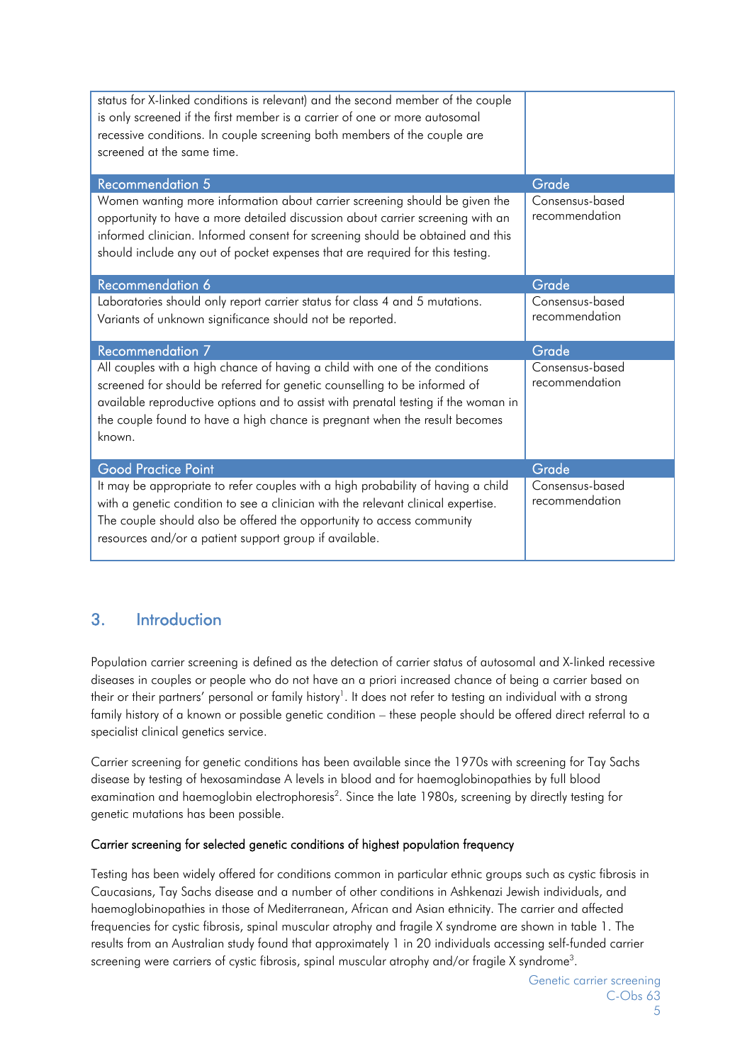| status for X-linked conditions is relevant) and the second member of the couple<br>is only screened if the first member is a carrier of one or more autosomal<br>recessive conditions. In couple screening both members of the couple are<br>screened at the same time.                                                         |                                   |
|---------------------------------------------------------------------------------------------------------------------------------------------------------------------------------------------------------------------------------------------------------------------------------------------------------------------------------|-----------------------------------|
| <b>Recommendation 5</b>                                                                                                                                                                                                                                                                                                         | Grade                             |
| Women wanting more information about carrier screening should be given the<br>opportunity to have a more detailed discussion about carrier screening with an<br>informed clinician. Informed consent for screening should be obtained and this<br>should include any out of pocket expenses that are required for this testing. | Consensus-based<br>recommendation |
| Recommendation 6                                                                                                                                                                                                                                                                                                                | Grade                             |
| Laboratories should only report carrier status for class 4 and 5 mutations.<br>Variants of unknown significance should not be reported.                                                                                                                                                                                         | Consensus-based<br>recommendation |
| Recommendation 7                                                                                                                                                                                                                                                                                                                | Grade                             |
| All couples with a high chance of having a child with one of the conditions<br>screened for should be referred for genetic counselling to be informed of<br>available reproductive options and to assist with prenatal testing if the woman in<br>the couple found to have a high chance is pregnant when the result becomes    | Consensus-based<br>recommendation |
| known.                                                                                                                                                                                                                                                                                                                          |                                   |
| <b>Good Practice Point</b><br>It may be appropriate to refer couples with a high probability of having a child                                                                                                                                                                                                                  | Grade<br>Consensus-based          |

# 3. Introduction

Population carrier screening is defined as the detection of carrier status of autosomal and X-linked recessive diseases in couples or people who do not have an a priori increased chance of being a carrier based on their or their partners' personal or family history<sup>1</sup>. It does not refer to testing an individual with a strong family history of a known or possible genetic condition – these people should be offered direct referral to a specialist clinical genetics service.

Carrier screening for genetic conditions has been available since the 1970s with screening for Tay Sachs disease by testing of hexosamindase A levels in blood and for haemoglobinopathies by full blood examination and haemoglobin electrophoresis<sup>2</sup>. Since the late 1980s, screening by directly testing for genetic mutations has been possible.

#### Carrier screening for selected genetic conditions of highest population frequency

Testing has been widely offered for conditions common in particular ethnic groups such as cystic fibrosis in Caucasians, Tay Sachs disease and a number of other conditions in Ashkenazi Jewish individuals, and haemoglobinopathies in those of Mediterranean, African and Asian ethnicity. The carrier and affected frequencies for cystic fibrosis, spinal muscular atrophy and fragile X syndrome are shown in table 1. The results from an Australian study found that approximately 1 in 20 individuals accessing self-funded carrier screening were carriers of cystic fibrosis, spinal muscular atrophy and/or fragile X syndrome $^3$ .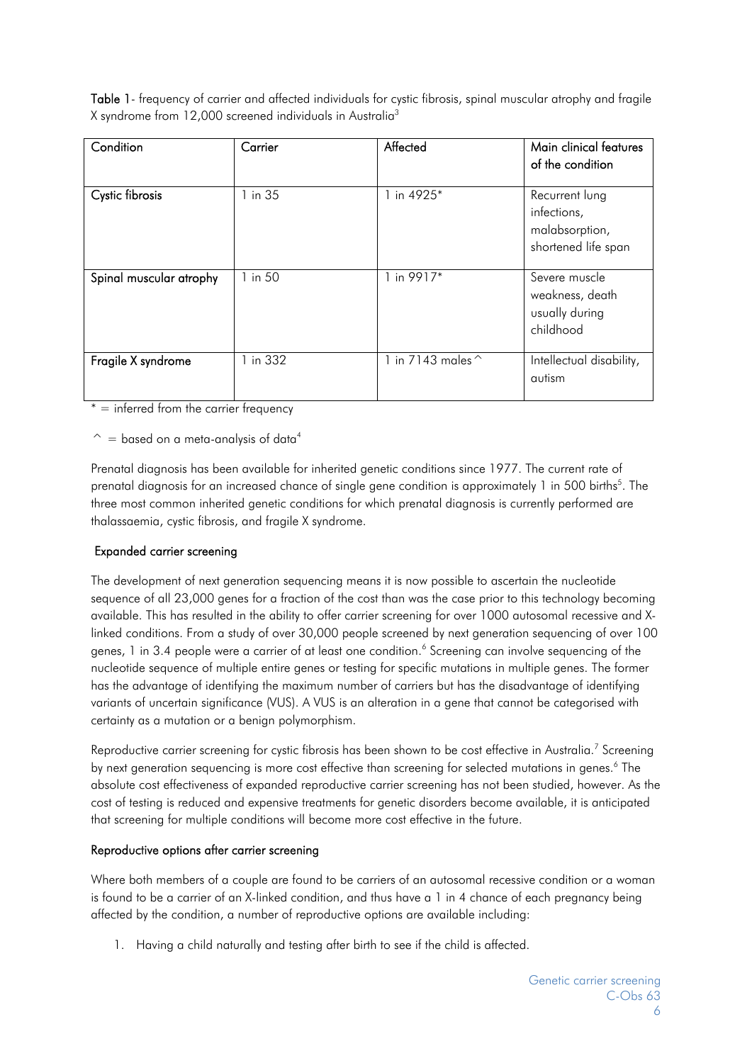Table 1- frequency of carrier and affected individuals for cystic fibrosis, spinal muscular atrophy and fragile X syndrome from 12,000 screened individuals in Australia3

| Condition               | Carrier  | Affected          | Main clinical features<br>of the condition                             |
|-------------------------|----------|-------------------|------------------------------------------------------------------------|
| Cystic fibrosis         | 1 in 35  | 1 in 4925*        | Recurrent lung<br>infections,<br>malabsorption,<br>shortened life span |
| Spinal muscular atrophy | 1 in 50  | 1 in 9917*        | Severe muscle<br>weakness, death<br>usually during<br>childhood        |
| Fragile X syndrome      | 1 in 332 | 1 in 7143 males ^ | Intellectual disability,<br>autism                                     |

 $* =$  inferred from the carrier frequency

 $\hat{ }$  = based on a meta-analysis of data<sup>4</sup>

Prenatal diagnosis has been available for inherited genetic conditions since 1977. The current rate of prenatal diagnosis for an increased chance of single gene condition is approximately 1 in 500 births<sup>5</sup>. The three most common inherited genetic conditions for which prenatal diagnosis is currently performed are thalassaemia, cystic fibrosis, and fragile X syndrome.

#### Expanded carrier screening

The development of next generation sequencing means it is now possible to ascertain the nucleotide sequence of all 23,000 genes for a fraction of the cost than was the case prior to this technology becoming available. This has resulted in the ability to offer carrier screening for over 1000 autosomal recessive and Xlinked conditions. From a study of over 30,000 people screened by next generation sequencing of over 100 genes, 1 in 3.4 people were a carrier of at least one condition.<sup>6</sup> Screening can involve sequencing of the nucleotide sequence of multiple entire genes or testing for specific mutations in multiple genes. The former has the advantage of identifying the maximum number of carriers but has the disadvantage of identifying variants of uncertain significance (VUS). A VUS is an alteration in a gene that cannot be categorised with certainty as a mutation or a benign polymorphism.

Reproductive carrier screening for cystic fibrosis has been shown to be cost effective in Australia.<sup>7</sup> Screening by next generation sequencing is more cost effective than screening for selected mutations in genes.<sup>6</sup> The absolute cost effectiveness of expanded reproductive carrier screening has not been studied, however. As the cost of testing is reduced and expensive treatments for genetic disorders become available, it is anticipated that screening for multiple conditions will become more cost effective in the future.

#### Reproductive options after carrier screening

Where both members of a couple are found to be carriers of an autosomal recessive condition or a woman is found to be a carrier of an X-linked condition, and thus have a 1 in 4 chance of each pregnancy being affected by the condition, a number of reproductive options are available including:

1. Having a child naturally and testing after birth to see if the child is affected.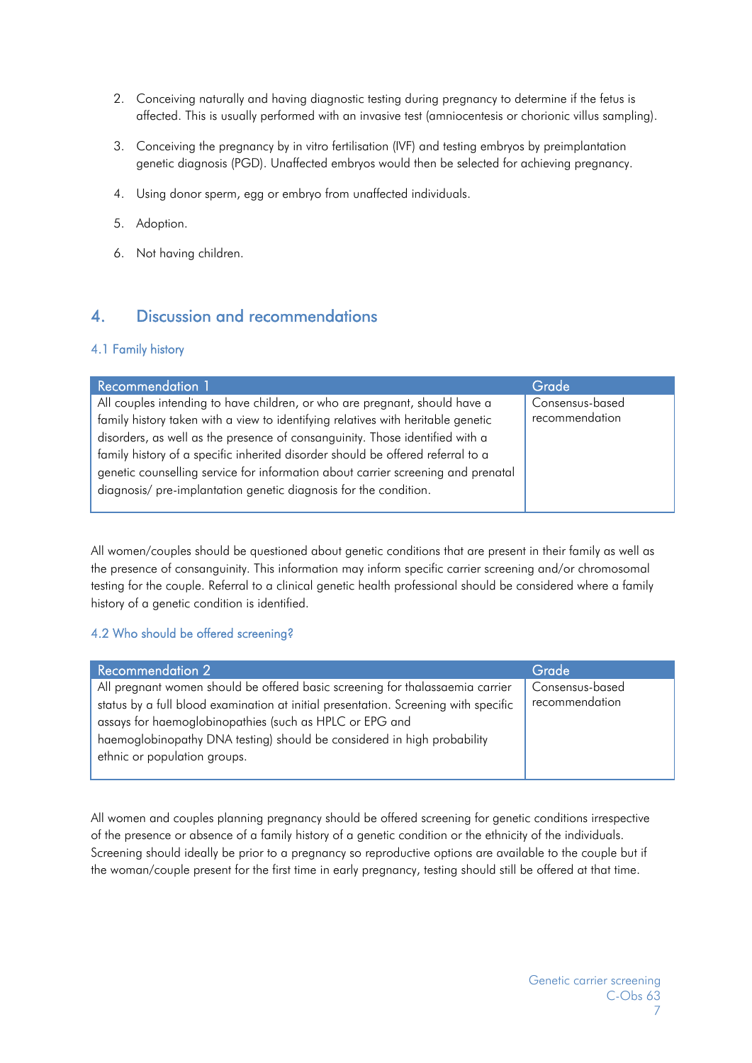- 2. Conceiving naturally and having diagnostic testing during pregnancy to determine if the fetus is affected. This is usually performed with an invasive test (amniocentesis or chorionic villus sampling).
- 3. Conceiving the pregnancy by in vitro fertilisation (IVF) and testing embryos by preimplantation genetic diagnosis (PGD). Unaffected embryos would then be selected for achieving pregnancy.
- 4. Using donor sperm, egg or embryo from unaffected individuals.
- 5. Adoption.
- 6. Not having children.

# 4. Discussion and recommendations

#### 4.1 Family history

| All couples intending to have children, or who are pregnant, should have a<br>Consensus-based                                                                                                                                                                                                                           | <b>Recommendation 1</b>                                                          | Grade          |
|-------------------------------------------------------------------------------------------------------------------------------------------------------------------------------------------------------------------------------------------------------------------------------------------------------------------------|----------------------------------------------------------------------------------|----------------|
| disorders, as well as the presence of consanguinity. Those identified with a<br>family history of a specific inherited disorder should be offered referral to a<br>genetic counselling service for information about carrier screening and prenatal<br>diagnosis/ pre-implantation genetic diagnosis for the condition. | family history taken with a view to identifying relatives with heritable genetic | recommendation |

All women/couples should be questioned about genetic conditions that are present in their family as well as the presence of consanguinity. This information may inform specific carrier screening and/or chromosomal testing for the couple. Referral to a clinical genetic health professional should be considered where a family history of a genetic condition is identified.

#### 4.2 Who should be offered screening?

| Recommendation 2                                                                    | Grade           |
|-------------------------------------------------------------------------------------|-----------------|
| All pregnant women should be offered basic screening for thalassaemia carrier       | Consensus-based |
| status by a full blood examination at initial presentation. Screening with specific | recommendation  |
| assays for haemoglobinopathies (such as HPLC or EPG and                             |                 |
| haemoglobinopathy DNA testing) should be considered in high probability             |                 |
| ethnic or population groups.                                                        |                 |
|                                                                                     |                 |

All women and couples planning pregnancy should be offered screening for genetic conditions irrespective of the presence or absence of a family history of a genetic condition or the ethnicity of the individuals. Screening should ideally be prior to a pregnancy so reproductive options are available to the couple but if the woman/couple present for the first time in early pregnancy, testing should still be offered at that time.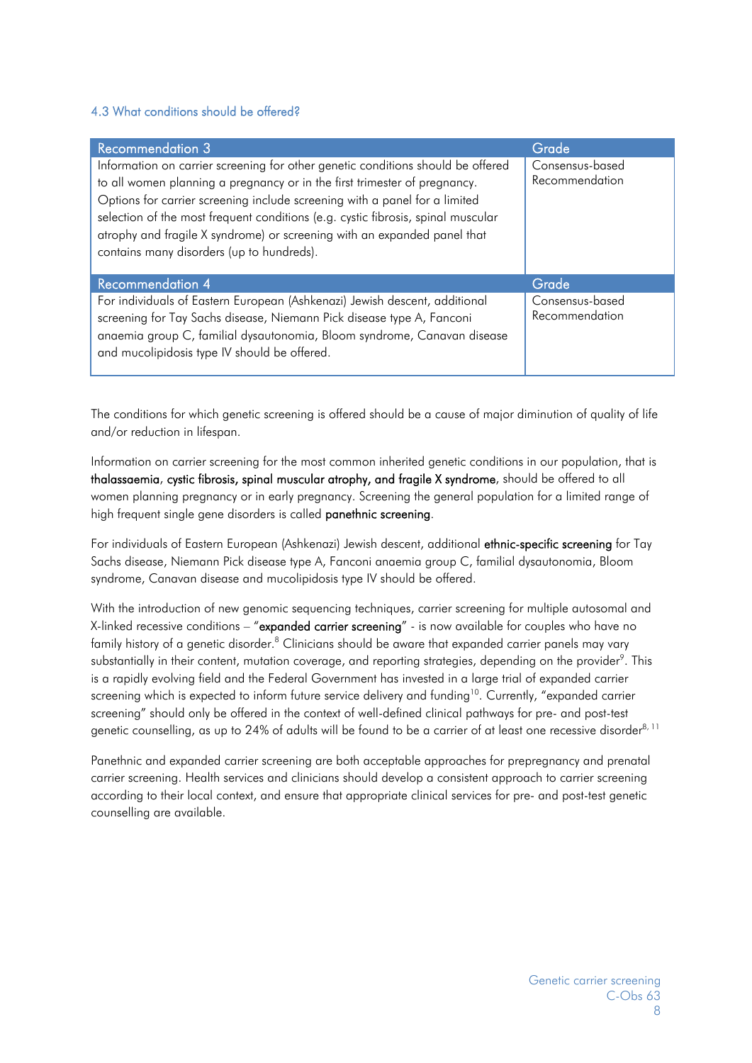#### 4.3 What conditions should be offered?

| <b>Recommendation 3</b>                                                                                                                                                                                                                                                                                                                                                                                                                                 | Grade                             |
|---------------------------------------------------------------------------------------------------------------------------------------------------------------------------------------------------------------------------------------------------------------------------------------------------------------------------------------------------------------------------------------------------------------------------------------------------------|-----------------------------------|
| Information on carrier screening for other genetic conditions should be offered<br>to all women planning a pregnancy or in the first trimester of pregnancy.<br>Options for carrier screening include screening with a panel for a limited<br>selection of the most frequent conditions (e.g. cystic fibrosis, spinal muscular<br>atrophy and fragile X syndrome) or screening with an expanded panel that<br>contains many disorders (up to hundreds). | Consensus-based<br>Recommendation |
| <b>Recommendation 4</b>                                                                                                                                                                                                                                                                                                                                                                                                                                 | Grade                             |
| For individuals of Eastern European (Ashkenazi) Jewish descent, additional<br>screening for Tay Sachs disease, Niemann Pick disease type A, Fanconi<br>anaemia group C, familial dysautonomia, Bloom syndrome, Canavan disease<br>and mucolipidosis type IV should be offered.                                                                                                                                                                          | Consensus-based<br>Recommendation |

The conditions for which genetic screening is offered should be a cause of major diminution of quality of life and/or reduction in lifespan.

Information on carrier screening for the most common inherited genetic conditions in our population, that is thalassaemia, cystic fibrosis, spinal muscular atrophy, and fragile X syndrome, should be offered to all women planning pregnancy or in early pregnancy. Screening the general population for a limited range of high frequent single gene disorders is called panethnic screening.

For individuals of Eastern European (Ashkenazi) Jewish descent, additional ethnic-specific screening for Tay Sachs disease, Niemann Pick disease type A, Fanconi anaemia group C, familial dysautonomia, Bloom syndrome, Canavan disease and mucolipidosis type IV should be offered.

With the introduction of new genomic sequencing techniques, carrier screening for multiple autosomal and X-linked recessive conditions – "expanded carrier screening" - is now available for couples who have no family history of a genetic disorder. $^8$  Clinicians should be aware that expanded carrier panels may vary substantially in their content, mutation coverage, and reporting strategies, depending on the provider<sup>9</sup>. This is a rapidly evolving field and the Federal Government has invested in a large trial of expanded carrier screening which is expected to inform future service delivery and funding<sup>10</sup>. Currently, "expanded carrier screening" should only be offered in the context of well-defined clinical pathways for pre- and post-test genetic counselling, as up to 24% of adults will be found to be a carrier of at least one recessive disorder<sup>8, 11</sup>

Panethnic and expanded carrier screening are both acceptable approaches for prepregnancy and prenatal carrier screening. Health services and clinicians should develop a consistent approach to carrier screening according to their local context, and ensure that appropriate clinical services for pre- and post-test genetic counselling are available.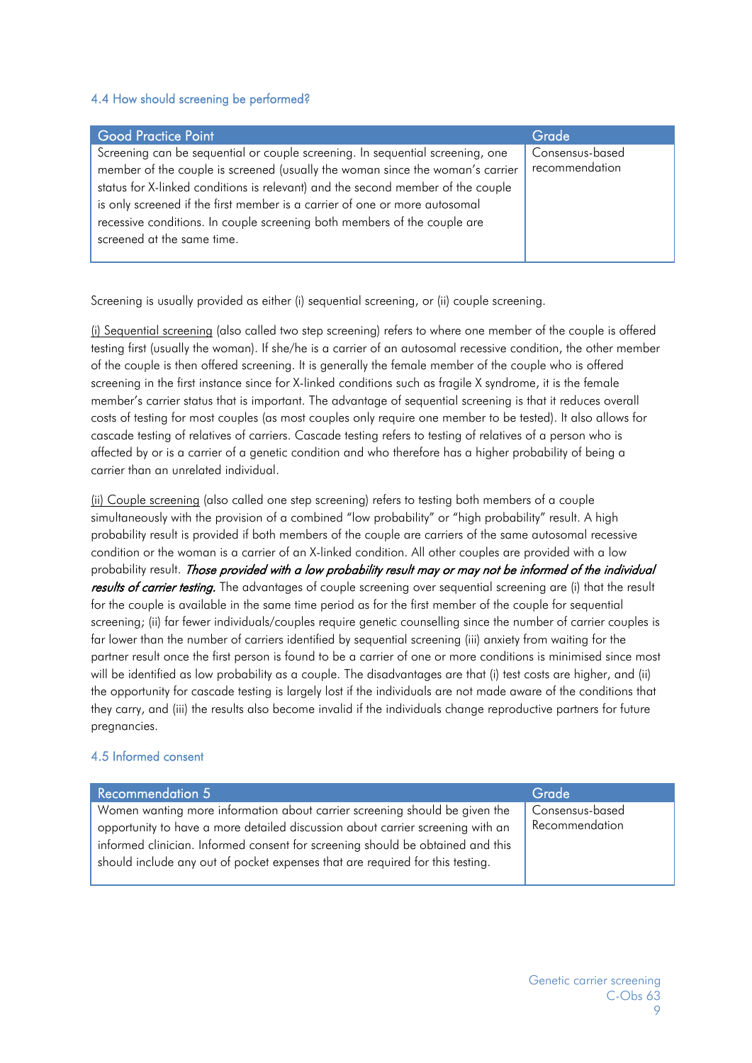#### 4.4 How should screening be performed?

| <b>Good Practice Point</b>                                                      | Grade           |
|---------------------------------------------------------------------------------|-----------------|
| Screening can be sequential or couple screening. In sequential screening, one   | Consensus-based |
| member of the couple is screened (usually the woman since the woman's carrier   | recommendation  |
| status for X-linked conditions is relevant) and the second member of the couple |                 |
| is only screened if the first member is a carrier of one or more autosomal      |                 |
| recessive conditions. In couple screening both members of the couple are        |                 |
| screened at the same time.                                                      |                 |
|                                                                                 |                 |

Screening is usually provided as either (i) sequential screening, or (ii) couple screening.

(i) Sequential screening (also called two step screening) refers to where one member of the couple is offered testing first (usually the woman). If she/he is a carrier of an autosomal recessive condition, the other member of the couple is then offered screening. It is generally the female member of the couple who is offered screening in the first instance since for X-linked conditions such as fragile X syndrome, it is the female member's carrier status that is important. The advantage of sequential screening is that it reduces overall costs of testing for most couples (as most couples only require one member to be tested). It also allows for cascade testing of relatives of carriers. Cascade testing refers to testing of relatives of a person who is affected by or is a carrier of a genetic condition and who therefore has a higher probability of being a carrier than an unrelated individual.

(ii) Couple screening (also called one step screening) refers to testing both members of a couple simultaneously with the provision of a combined "low probability" or "high probability" result. A high probability result is provided if both members of the couple are carriers of the same autosomal recessive condition or the woman is a carrier of an X-linked condition. All other couples are provided with a low probability result. Those provided with a low probability result may or may not be informed of the individual results of carrier testing. The advantages of couple screening over sequential screening are (i) that the result for the couple is available in the same time period as for the first member of the couple for sequential screening; (ii) far fewer individuals/couples require genetic counselling since the number of carrier couples is far lower than the number of carriers identified by sequential screening (iii) anxiety from waiting for the partner result once the first person is found to be a carrier of one or more conditions is minimised since most will be identified as low probability as a couple. The disadvantages are that (i) test costs are higher, and (ii) the opportunity for cascade testing is largely lost if the individuals are not made aware of the conditions that they carry, and (iii) the results also become invalid if the individuals change reproductive partners for future pregnancies.

#### 4.5 Informed consent

| <b>Recommendation 5</b>                                                        | Grade           |
|--------------------------------------------------------------------------------|-----------------|
| Women wanting more information about carrier screening should be given the     | Consensus-based |
| opportunity to have a more detailed discussion about carrier screening with an | Recommendation  |
| informed clinician. Informed consent for screening should be obtained and this |                 |
| should include any out of pocket expenses that are required for this testing.  |                 |
|                                                                                |                 |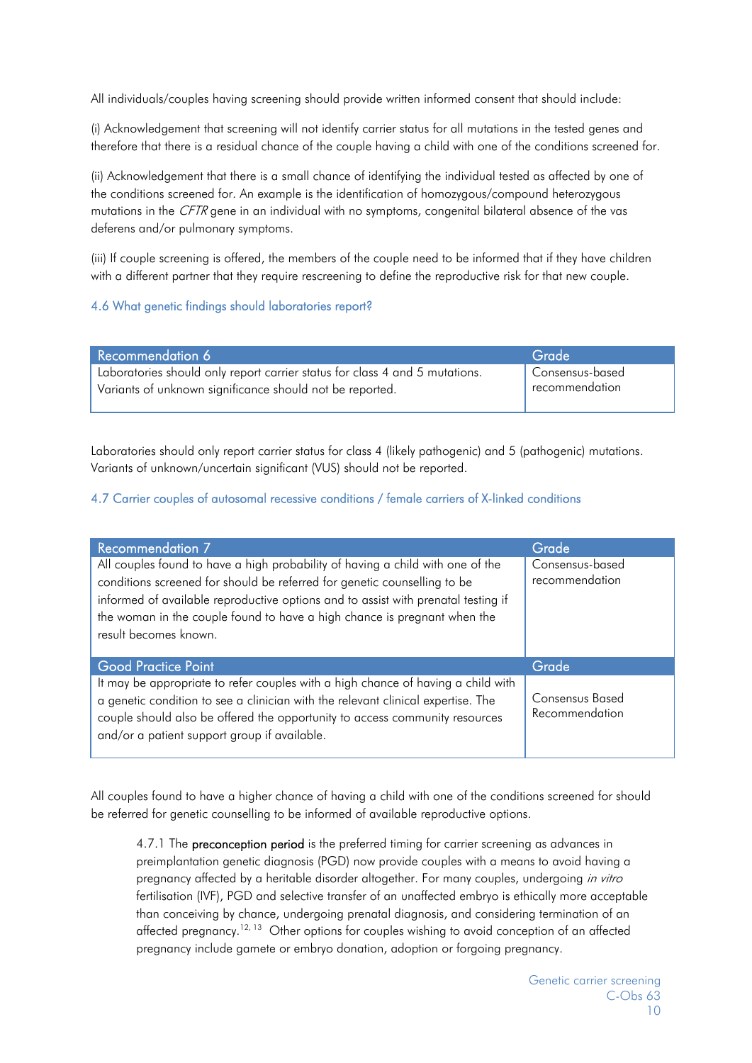All individuals/couples having screening should provide written informed consent that should include:

(i) Acknowledgement that screening will not identify carrier status for all mutations in the tested genes and therefore that there is a residual chance of the couple having a child with one of the conditions screened for.

(ii) Acknowledgement that there is a small chance of identifying the individual tested as affected by one of the conditions screened for. An example is the identification of homozygous/compound heterozygous mutations in the CFTR gene in an individual with no symptoms, congenital bilateral absence of the vas deferens and/or pulmonary symptoms.

(iii) If couple screening is offered, the members of the couple need to be informed that if they have children with a different partner that they require rescreening to define the reproductive risk for that new couple.

#### 4.6 What genetic findings should laboratories report?

| Recommendation 6                                                            | Grade                       |
|-----------------------------------------------------------------------------|-----------------------------|
| Laboratories should only report carrier status for class 4 and 5 mutations. | Consensus-based             |
| Variants of unknown significance should not be reported.                    | <sup>t</sup> recommendation |
|                                                                             |                             |

Laboratories should only report carrier status for class 4 (likely pathogenic) and 5 (pathogenic) mutations. Variants of unknown/uncertain significant (VUS) should not be reported.

#### 4.7 Carrier couples of autosomal recessive conditions / female carriers of X-linked conditions

| <b>Recommendation 7</b>                                                                                                                                                                                                                                                                                                                              | Grade                                    |
|------------------------------------------------------------------------------------------------------------------------------------------------------------------------------------------------------------------------------------------------------------------------------------------------------------------------------------------------------|------------------------------------------|
| All couples found to have a high probability of having a child with one of the<br>conditions screened for should be referred for genetic counselling to be<br>informed of available reproductive options and to assist with prenatal testing if<br>the woman in the couple found to have a high chance is pregnant when the<br>result becomes known. | Consensus-based<br>recommendation        |
| <b>Good Practice Point</b>                                                                                                                                                                                                                                                                                                                           | Grade                                    |
| It may be appropriate to refer couples with a high chance of having a child with<br>a genetic condition to see a clinician with the relevant clinical expertise. The<br>couple should also be offered the opportunity to access community resources<br>and/or a patient support group if available.                                                  | <b>Consensus Based</b><br>Recommendation |

All couples found to have a higher chance of having a child with one of the conditions screened for should be referred for genetic counselling to be informed of available reproductive options.

4.7.1 The preconception period is the preferred timing for carrier screening as advances in preimplantation genetic diagnosis (PGD) now provide couples with a means to avoid having a pregnancy affected by a heritable disorder altogether. For many couples, undergoing in vitro fertilisation (IVF), PGD and selective transfer of an unaffected embryo is ethically more acceptable than conceiving by chance, undergoing prenatal diagnosis, and considering termination of an affected pregnancy.<sup>12, 13</sup> Other options for couples wishing to avoid conception of an affected pregnancy include gamete or embryo donation, adoption or forgoing pregnancy.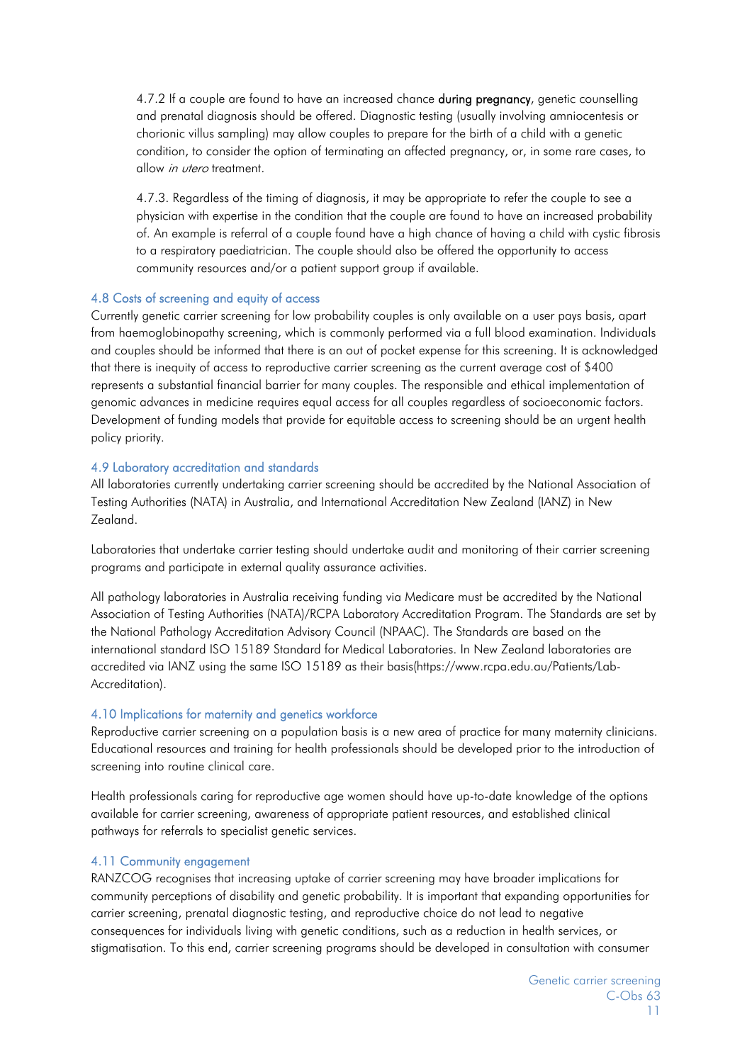4.7.2 If a couple are found to have an increased chance **during pregnancy**, genetic counselling and prenatal diagnosis should be offered. Diagnostic testing (usually involving amniocentesis or chorionic villus sampling) may allow couples to prepare for the birth of a child with a genetic condition, to consider the option of terminating an affected pregnancy, or, in some rare cases, to allow in utero treatment.

4.7.3. Regardless of the timing of diagnosis, it may be appropriate to refer the couple to see a physician with expertise in the condition that the couple are found to have an increased probability of. An example is referral of a couple found have a high chance of having a child with cystic fibrosis to a respiratory paediatrician. The couple should also be offered the opportunity to access community resources and/or a patient support group if available.

#### 4.8 Costs of screening and equity of access

Currently genetic carrier screening for low probability couples is only available on a user pays basis, apart from haemoglobinopathy screening, which is commonly performed via a full blood examination. Individuals and couples should be informed that there is an out of pocket expense for this screening. It is acknowledged that there is inequity of access to reproductive carrier screening as the current average cost of \$400 represents a substantial financial barrier for many couples. The responsible and ethical implementation of genomic advances in medicine requires equal access for all couples regardless of socioeconomic factors. Development of funding models that provide for equitable access to screening should be an urgent health policy priority.

#### 4.9 Laboratory accreditation and standards

All laboratories currently undertaking carrier screening should be accredited by the National Association of Testing Authorities (NATA) in Australia, and International Accreditation New Zealand (IANZ) in New Zealand.

Laboratories that undertake carrier testing should undertake audit and monitoring of their carrier screening programs and participate in external quality assurance activities.

All pathology laboratories in Australia receiving funding via Medicare must be accredited by the National Association of Testing Authorities (NATA)/RCPA Laboratory Accreditation Program. The Standards are set by the National Pathology Accreditation Advisory Council (NPAAC). The Standards are based on the international standard ISO 15189 Standard for Medical Laboratories. In New Zealand laboratories are accredited via IANZ using the same ISO 15189 as their basis(https://www.rcpa.edu.au/Patients/Lab-Accreditation).

#### 4.10 Implications for maternity and genetics workforce

Reproductive carrier screening on a population basis is a new area of practice for many maternity clinicians. Educational resources and training for health professionals should be developed prior to the introduction of screening into routine clinical care.

Health professionals caring for reproductive age women should have up-to-date knowledge of the options available for carrier screening, awareness of appropriate patient resources, and established clinical pathways for referrals to specialist genetic services.

#### 4.11 Community engagement

RANZCOG recognises that increasing uptake of carrier screening may have broader implications for community perceptions of disability and genetic probability. It is important that expanding opportunities for carrier screening, prenatal diagnostic testing, and reproductive choice do not lead to negative consequences for individuals living with genetic conditions, such as a reduction in health services, or stigmatisation. To this end, carrier screening programs should be developed in consultation with consumer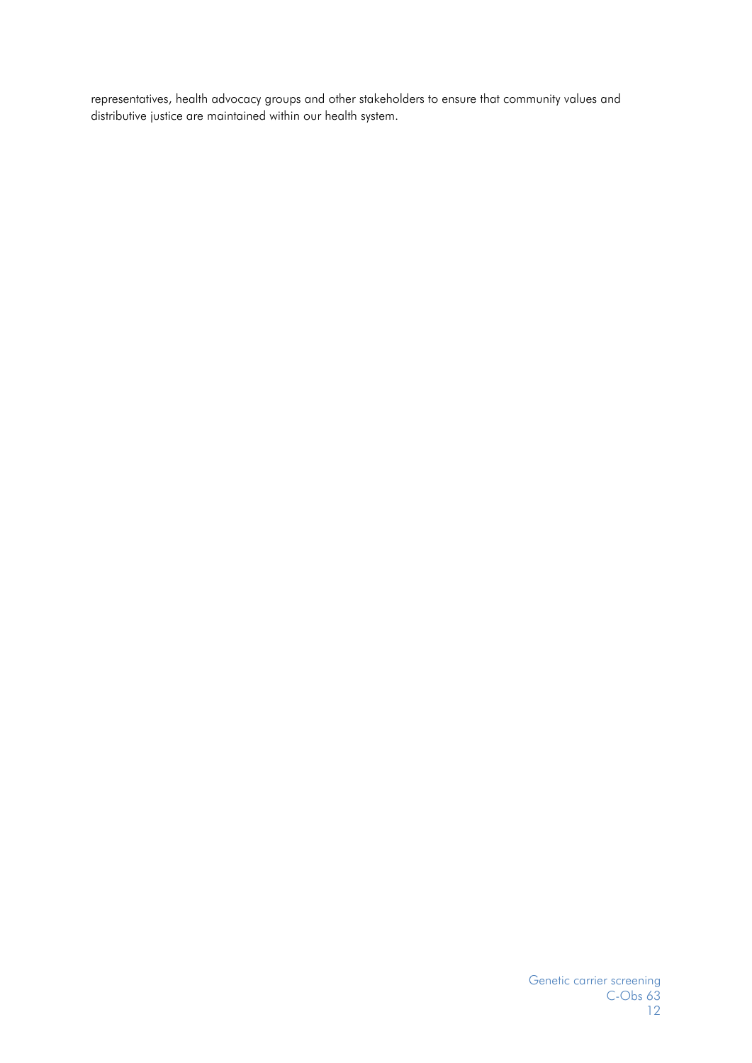representatives, health advocacy groups and other stakeholders to ensure that community values and distributive justice are maintained within our health system.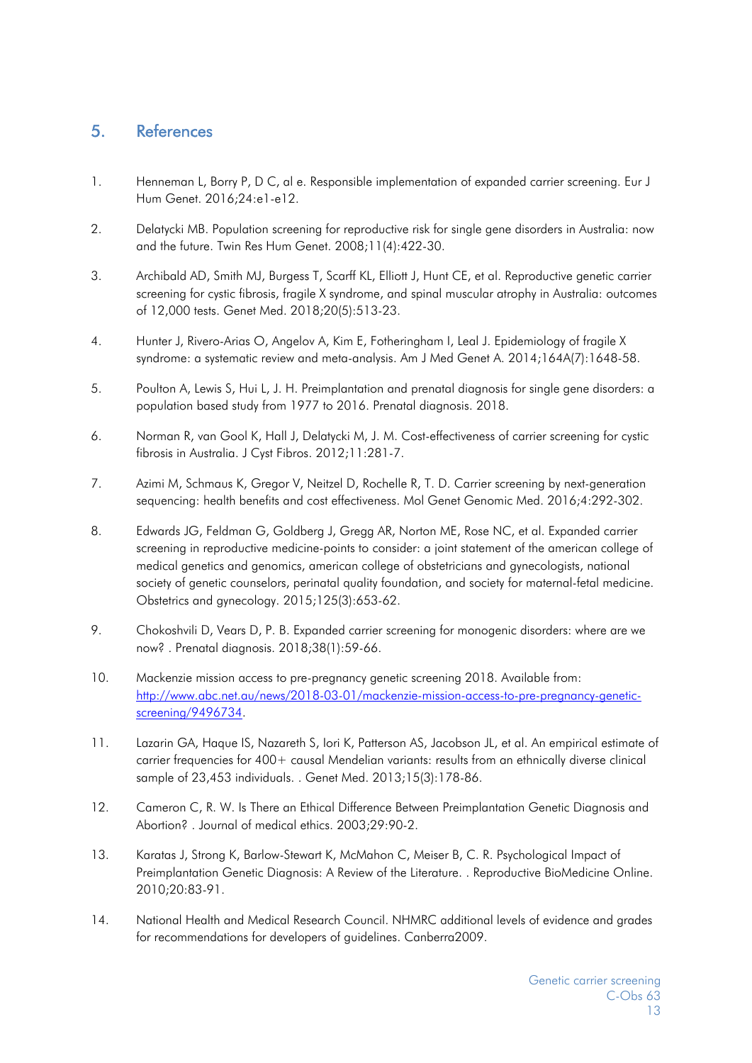# 5. References

- 1. Henneman L, Borry P, D C, al e. Responsible implementation of expanded carrier screening. Eur J Hum Genet. 2016;24:e1-e12.
- 2. Delatycki MB. Population screening for reproductive risk for single gene disorders in Australia: now and the future. Twin Res Hum Genet. 2008;11(4):422-30.
- 3. Archibald AD, Smith MJ, Burgess T, Scarff KL, Elliott J, Hunt CE, et al. Reproductive genetic carrier screening for cystic fibrosis, fragile X syndrome, and spinal muscular atrophy in Australia: outcomes of 12,000 tests. Genet Med. 2018;20(5):513-23.
- 4. Hunter J, Rivero-Arias O, Angelov A, Kim E, Fotheringham I, Leal J. Epidemiology of fragile X syndrome: a systematic review and meta-analysis. Am J Med Genet A. 2014;164A(7):1648-58.
- 5. Poulton A, Lewis S, Hui L, J. H. Preimplantation and prenatal diagnosis for single gene disorders: a population based study from 1977 to 2016. Prenatal diagnosis. 2018.
- 6. Norman R, van Gool K, Hall J, Delatycki M, J. M. Cost-effectiveness of carrier screening for cystic fibrosis in Australia. J Cyst Fibros. 2012;11:281-7.
- 7. Azimi M, Schmaus K, Gregor V, Neitzel D, Rochelle R, T. D. Carrier screening by next-generation sequencing: health benefits and cost effectiveness. Mol Genet Genomic Med. 2016;4:292-302.
- 8. Edwards JG, Feldman G, Goldberg J, Gregg AR, Norton ME, Rose NC, et al. Expanded carrier screening in reproductive medicine-points to consider: a joint statement of the american college of medical genetics and genomics, american college of obstetricians and gynecologists, national society of genetic counselors, perinatal quality foundation, and society for maternal-fetal medicine. Obstetrics and gynecology. 2015;125(3):653-62.
- 9. Chokoshvili D, Vears D, P. B. Expanded carrier screening for monogenic disorders: where are we now? . Prenatal diagnosis. 2018;38(1):59-66.
- 10. Mackenzie mission access to pre-pregnancy genetic screening 2018. Available from: http://www.abc.net.au/news/2018-03-01/mackenzie-mission-access-to-pre-pregnancy-geneticscreening/9496734.
- 11. Lazarin GA, Haque IS, Nazareth S, Iori K, Patterson AS, Jacobson JL, et al. An empirical estimate of carrier frequencies for 400+ causal Mendelian variants: results from an ethnically diverse clinical sample of 23,453 individuals. . Genet Med. 2013;15(3):178-86.
- 12. Cameron C, R. W. Is There an Ethical Difference Between Preimplantation Genetic Diagnosis and Abortion? . Journal of medical ethics. 2003;29:90-2.
- 13. Karatas J, Strong K, Barlow-Stewart K, McMahon C, Meiser B, C. R. Psychological Impact of Preimplantation Genetic Diagnosis: A Review of the Literature. . Reproductive BioMedicine Online. 2010;20:83-91.
- 14. National Health and Medical Research Council. NHMRC additional levels of evidence and grades for recommendations for developers of guidelines. Canberra2009.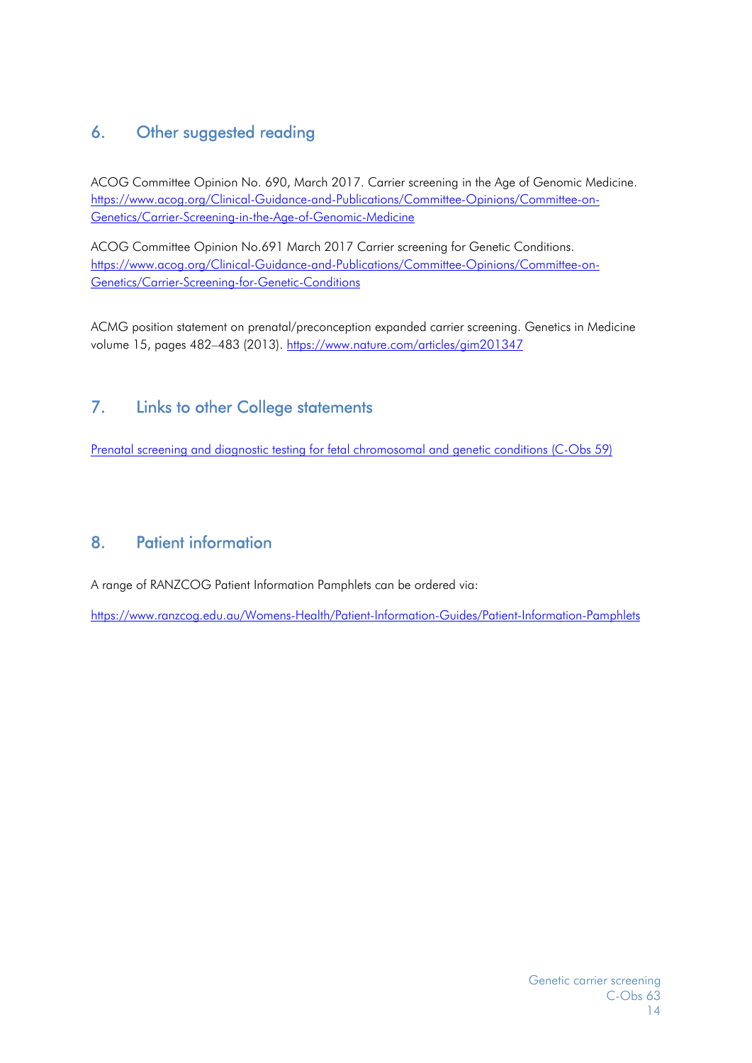# 6. Other suggested reading

ACOG Committee Opinion No. 690, March 2017. Carrier screening in the Age of Genomic Medicine. https://www.acog.org/Clinical-Guidance-and-Publications/Committee-Opinions/Committee-on-Genetics/Carrier-Screening-in-the-Age-of-Genomic-Medicine

ACOG Committee Opinion No.691 March 2017 Carrier screening for Genetic Conditions. https://www.acog.org/Clinical-Guidance-and-Publications/Committee-Opinions/Committee-on-Genetics/Carrier-Screening-for-Genetic-Conditions

ACMG position statement on prenatal/preconception expanded carrier screening. Genetics in Medicine volume 15, pages 482-483 (2013). https://www.nature.com/articles/gim201347

# 7. Links to other College statements

Prenatal screening and diagnostic testing for fetal chromosomal and genetic conditions (C-Obs 59)

# 8. Patient information

A range of RANZCOG Patient Information Pamphlets can be ordered via:

https://www.ranzcog.edu.au/Womens-Health/Patient-Information-Guides/Patient-Information-Pamphlets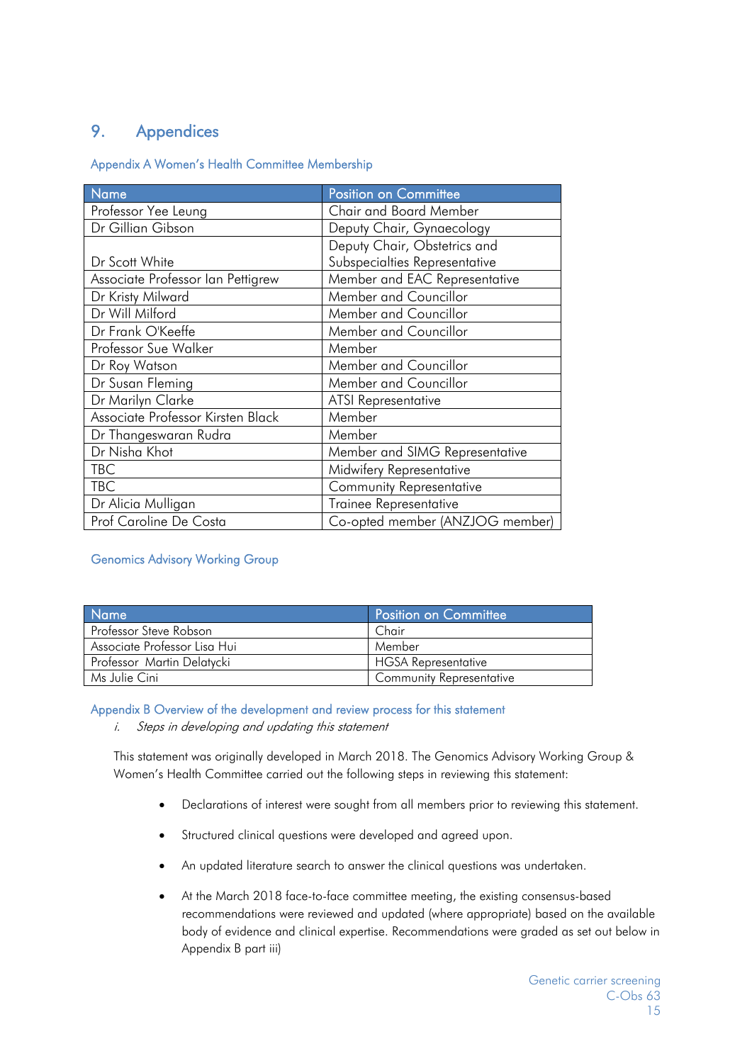# 9. Appendices

Appendix A Women's Health Committee Membership

| Name                              | <b>Position on Committee</b>    |
|-----------------------------------|---------------------------------|
| Professor Yee Leung               | <b>Chair and Board Member</b>   |
| Dr Gillian Gibson                 | Deputy Chair, Gynaecology       |
|                                   | Deputy Chair, Obstetrics and    |
| Dr Scott White                    | Subspecialties Representative   |
| Associate Professor Ian Pettigrew | Member and EAC Representative   |
| Dr Kristy Milward                 | Member and Councillor           |
| Dr Will Milford                   | Member and Councillor           |
| Dr Frank O'Keeffe                 | Member and Councillor           |
| Professor Sue Walker              | Member                          |
| Dr Roy Watson                     | Member and Councillor           |
| Dr Susan Fleming                  | Member and Councillor           |
| Dr Marilyn Clarke                 | <b>ATSI Representative</b>      |
| Associate Professor Kirsten Black | Member                          |
| Dr Thangeswaran Rudra             | Member                          |
| Dr Nisha Khot                     | Member and SIMG Representative  |
| TBC                               | Midwifery Representative        |
| <b>TBC</b>                        | <b>Community Representative</b> |
| Dr Alicia Mulligan                | Trainee Representative          |
| Prof Caroline De Costa            | Co-opted member (ANZJOG member) |

#### Genomics Advisory Working Group

| <b>Name</b>                  | Position on Committee           |
|------------------------------|---------------------------------|
| Professor Steve Robson       | Chair                           |
| Associate Professor Lisa Hui | Member                          |
| Professor Martin Delatycki   | <b>HGSA Representative</b>      |
| Ms Julie Cini                | <b>Community Representative</b> |

Appendix B Overview of the development and review process for this statement

i. Steps in developing and updating this statement

This statement was originally developed in March 2018. The Genomics Advisory Working Group & Women's Health Committee carried out the following steps in reviewing this statement:

- Declarations of interest were sought from all members prior to reviewing this statement.
- Structured clinical questions were developed and agreed upon.
- An updated literature search to answer the clinical questions was undertaken.
- At the March 2018 face-to-face committee meeting, the existing consensus-based recommendations were reviewed and updated (where appropriate) based on the available body of evidence and clinical expertise. Recommendations were graded as set out below in Appendix B part iii)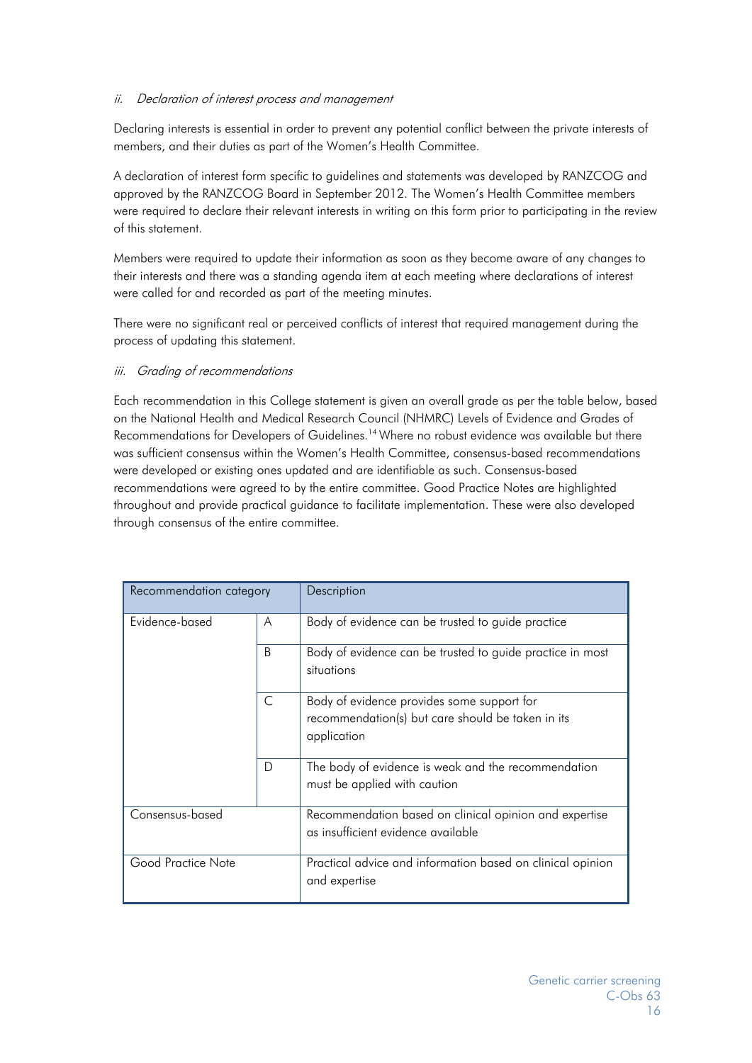#### ii. Declaration of interest process and management

Declaring interests is essential in order to prevent any potential conflict between the private interests of members, and their duties as part of the Women's Health Committee.

A declaration of interest form specific to guidelines and statements was developed by RANZCOG and approved by the RANZCOG Board in September 2012. The Women's Health Committee members were required to declare their relevant interests in writing on this form prior to participating in the review of this statement.

Members were required to update their information as soon as they become aware of any changes to their interests and there was a standing agenda item at each meeting where declarations of interest were called for and recorded as part of the meeting minutes.

There were no significant real or perceived conflicts of interest that required management during the process of updating this statement.

#### iii. Grading of recommendations

Each recommendation in this College statement is given an overall grade as per the table below, based on the National Health and Medical Research Council (NHMRC) Levels of Evidence and Grades of Recommendations for Developers of Guidelines.<sup>14</sup> Where no robust evidence was available but there was sufficient consensus within the Women's Health Committee, consensus-based recommendations were developed or existing ones updated and are identifiable as such. Consensus-based recommendations were agreed to by the entire committee. Good Practice Notes are highlighted throughout and provide practical guidance to facilitate implementation. These were also developed through consensus of the entire committee.

| Recommendation category |              | Description                                                                                                    |
|-------------------------|--------------|----------------------------------------------------------------------------------------------------------------|
| Evidence-based          | A            | Body of evidence can be trusted to guide practice                                                              |
|                         | <sub>B</sub> | Body of evidence can be trusted to guide practice in most<br>situations                                        |
|                         | C            | Body of evidence provides some support for<br>recommendation(s) but care should be taken in its<br>application |
|                         | D            | The body of evidence is weak and the recommendation<br>must be applied with caution                            |
| Consensus-based         |              | Recommendation based on clinical opinion and expertise<br>as insufficient evidence available                   |
| Good Practice Note      |              | Practical advice and information based on clinical opinion<br>and expertise                                    |